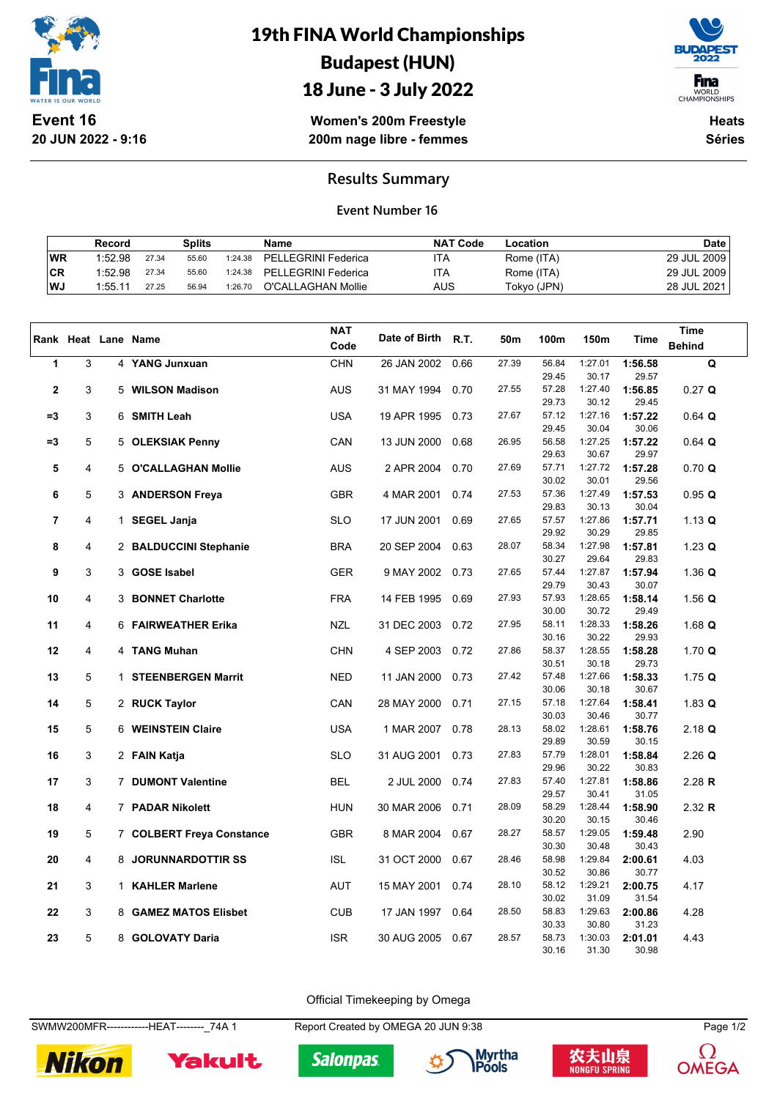

# 19th FINA World Championships Budapest (HUN)



18 June - 3 July 2022

**Women's 200m Freestyle 200m nage libre - femmes**

**Heats Séries**

### **Results Summary**

#### **Event Number 16**

|           | Record  |       | Splits |         | Name                | <b>NAT Code</b> | Location    | <b>Date</b> |
|-----------|---------|-------|--------|---------|---------------------|-----------------|-------------|-------------|
| WR        | 1:52.98 | 27.34 | 55.60  | 1:24.38 | PELLEGRINI Federica | ITA             | Rome (ITA)  | 29 JUL 2009 |
| <b>CR</b> | 1:52.98 | 27.34 | 55.60  | 1:24.38 | PELLEGRINI Federica | ١TA             | Rome (ITA)  | 29 JUL 2009 |
| l WJ      | 1:55.11 | 27.25 | 56.94  | 1:26.70 | O'CALLAGHAN Mollie  | AUS             | Tokyo (JPN) | 28 JUL 2021 |

|                |   | Rank Heat Lane Name |                           | <b>NAT</b> | Date of Birth R.T. |      | 50m   | 100m           | 150m             | Time             | <b>Time</b>   |
|----------------|---|---------------------|---------------------------|------------|--------------------|------|-------|----------------|------------------|------------------|---------------|
|                |   |                     |                           | Code       |                    |      |       |                |                  |                  | <b>Behind</b> |
| 1              | 3 |                     | 4 YANG Junxuan            | <b>CHN</b> | 26 JAN 2002        | 0.66 | 27.39 | 56.84          | 1:27.01          | 1:56.58          | Q             |
|                |   |                     |                           |            |                    |      |       | 29.45          | 30.17            | 29.57            |               |
| $\overline{2}$ | 3 |                     | 5 WILSON Madison          | <b>AUS</b> | 31 MAY 1994        | 0.70 | 27.55 | 57.28<br>29.73 | 1:27.40<br>30.12 | 1:56.85<br>29.45 | $0.27$ Q      |
| $= 3$          | 3 |                     | 6 SMITH Leah              | <b>USA</b> | 19 APR 1995        | 0.73 | 27.67 | 57.12          | 1:27.16          | 1:57.22          | $0.64$ Q      |
|                |   |                     |                           |            |                    |      |       | 29.45          | 30.04            | 30.06            |               |
| $=3$           | 5 |                     | 5 OLEKSIAK Penny          | CAN        | 13 JUN 2000        | 0.68 | 26.95 | 56.58          | 1:27.25          | 1:57.22          | $0.64$ Q      |
|                |   |                     |                           |            |                    |      |       | 29.63          | 30.67            | 29.97            |               |
| 5              | 4 |                     | 5 O'CALLAGHAN Mollie      | <b>AUS</b> | 2 APR 2004         | 0.70 | 27.69 | 57.71          | 1:27.72          | 1:57.28          | 0.70 Q        |
|                |   |                     |                           |            |                    |      |       | 30.02          | 30.01            | 29.56            |               |
| 6              | 5 |                     | 3 ANDERSON Freya          | <b>GBR</b> | 4 MAR 2001         | 0.74 | 27.53 | 57.36          | 1:27.49          | 1:57.53          | 0.95 Q        |
|                |   |                     |                           |            |                    |      |       | 29.83          | 30.13            | 30.04            |               |
| 7              | 4 |                     | 1 SEGEL Janja             | <b>SLO</b> | 17 JUN 2001        | 0.69 | 27.65 | 57.57          | 1:27.86          | 1:57.71          | 1.13 Q        |
|                |   |                     |                           |            |                    |      |       | 29.92          | 30.29            | 29.85            |               |
| 8              | 4 |                     | 2 BALDUCCINI Stephanie    | <b>BRA</b> | 20 SEP 2004        | 0.63 | 28.07 | 58.34          | 1:27.98          | 1:57.81          | $1.23$ Q      |
|                |   |                     |                           |            |                    |      |       | 30.27          | 29.64            | 29.83            |               |
| 9              | 3 | 3                   | <b>GOSE Isabel</b>        | <b>GER</b> | 9 MAY 2002         | 0.73 | 27.65 | 57.44          | 1:27.87          | 1:57.94          | 1.36 Q        |
|                |   |                     |                           |            |                    |      | 27.93 | 29.79<br>57.93 | 30.43<br>1:28.65 | 30.07            |               |
| 10             | 4 |                     | 3 BONNET Charlotte        | <b>FRA</b> | 14 FEB 1995        | 0.69 |       | 30.00          | 30.72            | 1:58.14<br>29.49 | 1.56 $Q$      |
| 11             | 4 |                     | 6 FAIRWEATHER Erika       | <b>NZL</b> | 31 DEC 2003        | 0.72 | 27.95 | 58.11          | 1:28.33          | 1:58.26          | 1.68 $Q$      |
|                |   |                     |                           |            |                    |      |       | 30.16          | 30.22            | 29.93            |               |
| 12             | 4 |                     | 4 TANG Muhan              | <b>CHN</b> | 4 SEP 2003         | 0.72 | 27.86 | 58.37          | 1:28.55          | 1:58.28          | 1.70 $Q$      |
|                |   |                     |                           |            |                    |      |       | 30.51          | 30.18            | 29.73            |               |
| 13             | 5 | $\mathbf{1}$        | <b>STEENBERGEN Marrit</b> | <b>NED</b> | 11 JAN 2000        | 0.73 | 27.42 | 57.48          | 1:27.66          | 1:58.33          | 1.75 $Q$      |
|                |   |                     |                           |            |                    |      |       | 30.06          | 30.18            | 30.67            |               |
| 14             | 5 |                     | 2 RUCK Taylor             | CAN        | 28 MAY 2000        | 0.71 | 27.15 | 57.18          | 1:27.64          | 1:58.41          | 1.83 $Q$      |
|                |   |                     |                           |            |                    |      |       | 30.03          | 30.46            | 30.77            |               |
| 15             | 5 |                     | 6 WEINSTEIN Claire        | <b>USA</b> | 1 MAR 2007         | 0.78 | 28.13 | 58.02          | 1:28.61          | 1:58.76          | $2.18$ Q      |
|                | 3 |                     |                           | <b>SLO</b> |                    | 0.73 | 27.83 | 29.89<br>57.79 | 30.59<br>1:28.01 | 30.15<br>1:58.84 |               |
| 16             |   |                     | 2 FAIN Katja              |            | 31 AUG 2001        |      |       | 29.96          | 30.22            | 30.83            | $2.26$ Q      |
| 17             | 3 |                     | 7 DUMONT Valentine        | <b>BEL</b> | 2 JUL 2000         | 0.74 | 27.83 | 57.40          | 1:27.81          | 1:58.86          | $2.28$ R      |
|                |   |                     |                           |            |                    |      |       | 29.57          | 30.41            | 31.05            |               |
| 18             | 4 |                     | 7 PADAR Nikolett          | <b>HUN</b> | 30 MAR 2006        | 0.71 | 28.09 | 58.29          | 1:28.44          | 1:58.90          | 2.32 R        |
|                |   |                     |                           |            |                    |      |       | 30.20          | 30.15            | 30.46            |               |
| 19             | 5 |                     | 7 COLBERT Freya Constance | <b>GBR</b> | 8 MAR 2004         | 0.67 | 28.27 | 58.57          | 1:29.05          | 1:59.48          | 2.90          |
|                |   |                     |                           |            |                    |      |       | 30.30          | 30.48            | 30.43            |               |
| 20             | 4 |                     | 8 JORUNNARDOTTIR SS       | <b>ISL</b> | 31 OCT 2000        | 0.67 | 28.46 | 58.98          | 1:29.84          | 2:00.61          | 4.03          |
|                |   |                     |                           |            |                    |      |       | 30.52          | 30.86            | 30.77            |               |
| 21             | 3 |                     | 1 KAHLER Marlene          | <b>AUT</b> | 15 MAY 2001        | 0.74 | 28.10 | 58.12          | 1:29.21          | 2:00.75          | 4.17          |
|                |   |                     |                           | <b>CUB</b> |                    |      | 28.50 | 30.02<br>58.83 | 31.09<br>1:29.63 | 31.54            |               |
| 22             | 3 |                     | 8 GAMEZ MATOS Elisbet     |            | 17 JAN 1997        | 0.64 |       | 30.33          | 30.80            | 2:00.86<br>31.23 | 4.28          |
| 23             | 5 |                     | 8 GOLOVATY Daria          | <b>ISR</b> | 30 AUG 2005        | 0.67 | 28.57 | 58.73          | 1:30.03          | 2:01.01          | 4.43          |
|                |   |                     |                           |            |                    |      |       | 30.16          | 31.30            | 30.98            |               |

Official Timekeeping by Omega

SWMW200MFR-------------HEAT--------\_74A 1 Report Created by OMEGA 20 JUN 9:38 Page 1/2